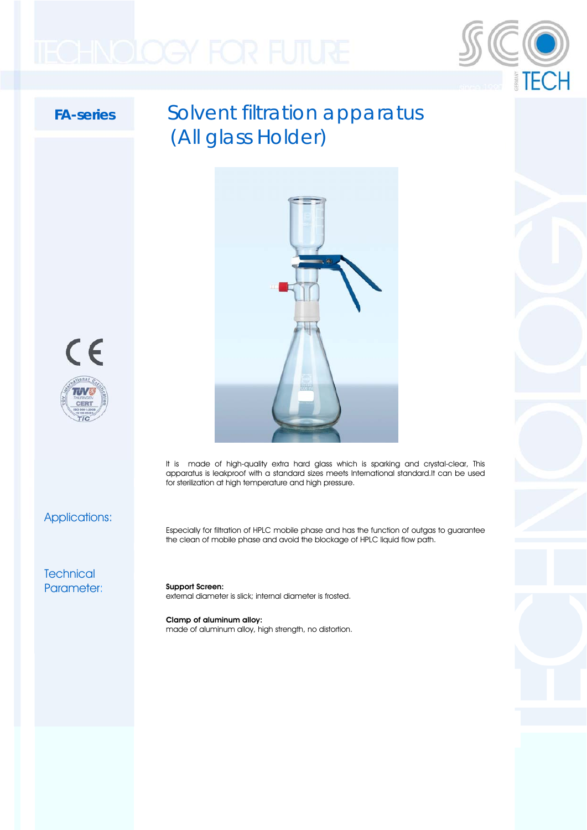

## FA-series Solvent filtration apparatus (All glass Holder)



It is made of high-quality extra hard glass which is sparking and crystal-clear, This apparatus is leakproof with a standard sizes meets International standard.It can be used for sterilization at high temperature and high pressure.

Applications:

 $\epsilon$ 

 $\pi\pi$ 

Especially for filtration of HPLC mobile phase and has the function of outgas to guarantee the clean of mobile phase and avoid the blockage of HPLC liquid flow path.

**Technical** Parameter:

Support Screen: external diameter is slick; internal diameter is frosted.

Clamp of aluminum alloy: made of aluminum alloy, high strength, no distortion.